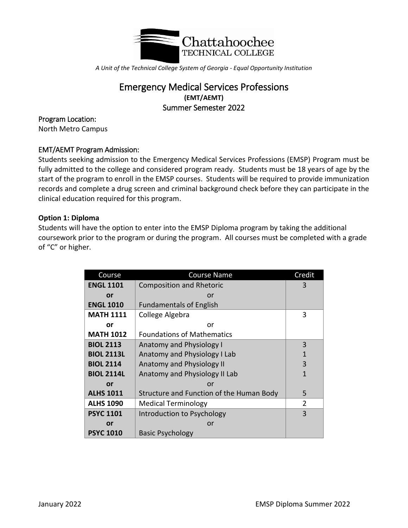

*A Unit of the Technical College System of Georgia - Equal Opportunity Institution*

# Emergency Medical Services Professions **(EMT/AEMT)** Summer Semester 2022

### Program Location:

North Metro Campus

## EMT/AEMT Program Admission:

Students seeking admission to the Emergency Medical Services Professions (EMSP) Program must be fully admitted to the college and considered program ready. Students must be 18 years of age by the start of the program to enroll in the EMSP courses. Students will be required to provide immunization records and complete a drug screen and criminal background check before they can participate in the clinical education required for this program.

### **Option 1: Diploma**

Students will have the option to enter into the EMSP Diploma program by taking the additional coursework prior to the program or during the program. All courses must be completed with a grade of "C" or higher.

| Course            | <b>Course Name</b>                       | Credit         |
|-------------------|------------------------------------------|----------------|
| <b>ENGL 1101</b>  | <b>Composition and Rhetoric</b>          | 3              |
| or                | or                                       |                |
| <b>ENGL 1010</b>  | <b>Fundamentals of English</b>           |                |
| <b>MATH 1111</b>  | College Algebra                          | 3              |
| or                | or                                       |                |
| <b>MATH 1012</b>  | <b>Foundations of Mathematics</b>        |                |
| <b>BIOL 2113</b>  | Anatomy and Physiology I                 | 3              |
| <b>BIOL 2113L</b> | Anatomy and Physiology I Lab             | $\mathbf{1}$   |
| <b>BIOL 2114</b>  | Anatomy and Physiology II                | 3              |
| <b>BIOL 2114L</b> | Anatomy and Physiology II Lab            | $\mathbf{1}$   |
| or                | or                                       |                |
| <b>ALHS 1011</b>  | Structure and Function of the Human Body | 5              |
| <b>ALHS 1090</b>  | <b>Medical Terminology</b>               | $\overline{2}$ |
| <b>PSYC 1101</b>  | Introduction to Psychology               | 3              |
| or                | or                                       |                |
| <b>PSYC 1010</b>  | <b>Basic Psychology</b>                  |                |